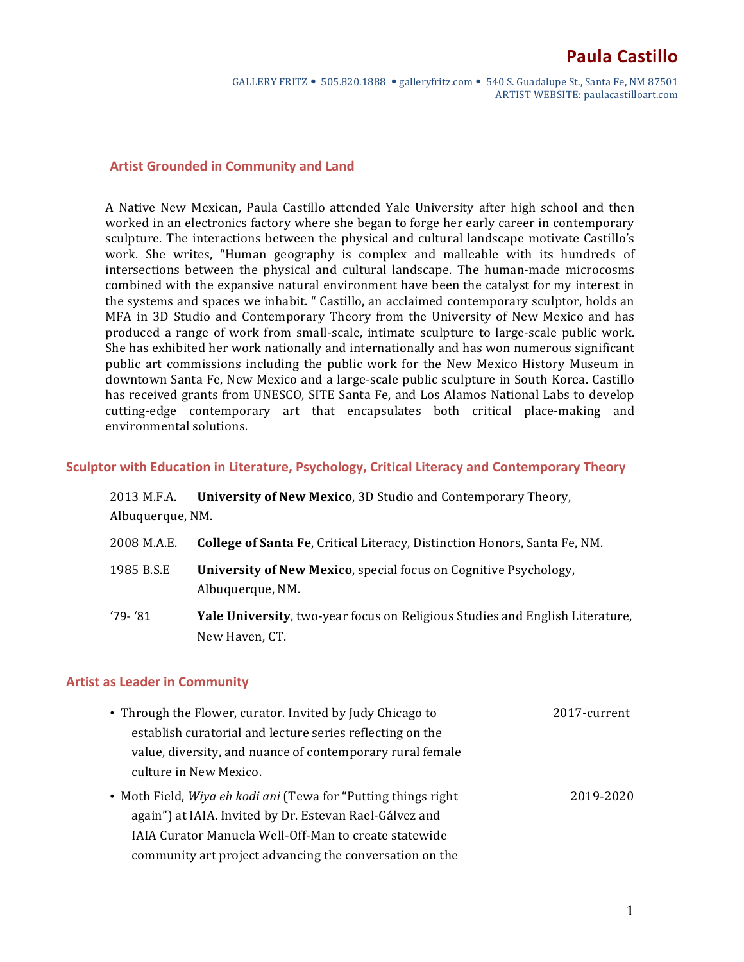GALLERY FRITZ  $\bullet$  505.820.1888  $\bullet$  galleryfritz.com  $\bullet$  540 S. Guadalupe St., Santa Fe, NM 87501 ARTIST WEBSITE: paulacastilloart.com

#### **Artist Grounded in Community and Land**

A Native New Mexican, Paula Castillo attended Yale University after high school and then worked in an electronics factory where she began to forge her early career in contemporary sculpture. The interactions between the physical and cultural landscape motivate Castillo's work. She writes, "Human geography is complex and malleable with its hundreds of intersections between the physical and cultural landscape. The human-made microcosms combined with the expansive natural environment have been the catalyst for my interest in the systems and spaces we inhabit. " Castillo, an acclaimed contemporary sculptor, holds an MFA in 3D Studio and Contemporary Theory from the University of New Mexico and has produced a range of work from small-scale, intimate sculpture to large-scale public work. She has exhibited her work nationally and internationally and has won numerous significant public art commissions including the public work for the New Mexico History Museum in downtown Santa Fe, New Mexico and a large-scale public sculpture in South Korea. Castillo has received grants from UNESCO, SITE Santa Fe, and Los Alamos National Labs to develop cutting-edge contemporary art that encapsulates both critical place-making and environmental solutions.

#### Sculptor with Education in Literature, Psychology, Critical Literacy and Contemporary Theory

| 2013 M.F.A.      | University of New Mexico, 3D Studio and Contemporary Theory,                                          |
|------------------|-------------------------------------------------------------------------------------------------------|
| Albuquerque, NM. |                                                                                                       |
| 2008 M.A.E.      | <b>College of Santa Fe, Critical Literacy, Distinction Honors, Santa Fe, NM.</b>                      |
| 1985 B.S.E       | <b>University of New Mexico, special focus on Cognitive Psychology,</b><br>Albuquerque, NM.           |
| $'79 - '81$      | <b>Yale University, two-year focus on Religious Studies and English Literature,</b><br>New Haven, CT. |

#### **Artist as Leader in Community**

| • Through the Flower, curator. Invited by Judy Chicago to      | 2017-current |
|----------------------------------------------------------------|--------------|
| establish curatorial and lecture series reflecting on the      |              |
| value, diversity, and nuance of contemporary rural female      |              |
| culture in New Mexico.                                         |              |
| • Moth Field, Wiya eh kodi ani (Tewa for "Putting things right | 2019-2020    |
| again") at IAIA. Invited by Dr. Estevan Rael-Gálvez and        |              |
| <b>IAIA Curator Manuela Well-Off-Man to create statewide</b>   |              |
|                                                                |              |

community art project advancing the conversation on the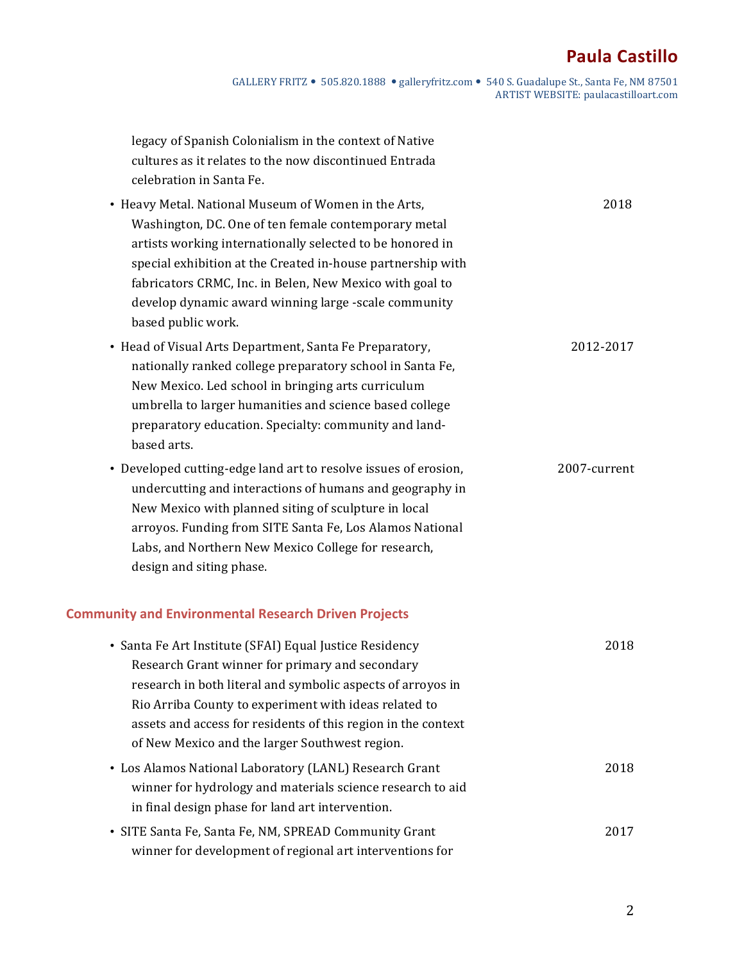# **Paula Castillo**

GALLERY FRITZ  $\bullet$  505.820.1888  $\bullet$  galleryfritz.com  $\bullet$  540 S. Guadalupe St., Santa Fe, NM 87501 ARTIST WEBSITE: paulacastilloart.com

| legacy of Spanish Colonialism in the context of Native<br>cultures as it relates to the now discontinued Entrada<br>celebration in Santa Fe.                                                                                                                                                                                                                                                      |              |
|---------------------------------------------------------------------------------------------------------------------------------------------------------------------------------------------------------------------------------------------------------------------------------------------------------------------------------------------------------------------------------------------------|--------------|
| • Heavy Metal. National Museum of Women in the Arts,<br>Washington, DC. One of ten female contemporary metal<br>artists working internationally selected to be honored in<br>special exhibition at the Created in-house partnership with<br>fabricators CRMC, Inc. in Belen, New Mexico with goal to<br>develop dynamic award winning large -scale community<br>based public work.                | 2018         |
| • Head of Visual Arts Department, Santa Fe Preparatory,<br>nationally ranked college preparatory school in Santa Fe,<br>New Mexico. Led school in bringing arts curriculum<br>umbrella to larger humanities and science based college<br>preparatory education. Specialty: community and land-<br>based arts.                                                                                     | 2012-2017    |
| • Developed cutting-edge land art to resolve issues of erosion,<br>undercutting and interactions of humans and geography in<br>New Mexico with planned siting of sculpture in local<br>arroyos. Funding from SITE Santa Fe, Los Alamos National<br>Labs, and Northern New Mexico College for research,<br>design and siting phase.<br><b>Community and Environmental Research Driven Projects</b> | 2007-current |
| · Santa Fe Art Institute (SFAI) Equal Justice Residency<br>Research Grant winner for primary and secondary<br>research in both literal and symbolic aspects of arroyos in<br>Rio Arriba County to experiment with ideas related to<br>assets and access for residents of this region in the context<br>of New Mexico and the larger Southwest region.                                             | 2018         |
| • Los Alamos National Laboratory (LANL) Research Grant<br>winner for hydrology and materials science research to aid<br>in final design phase for land art intervention.                                                                                                                                                                                                                          | 2018         |
| • SITE Santa Fe, Santa Fe, NM, SPREAD Community Grant<br>winner for development of regional art interventions for                                                                                                                                                                                                                                                                                 | 2017         |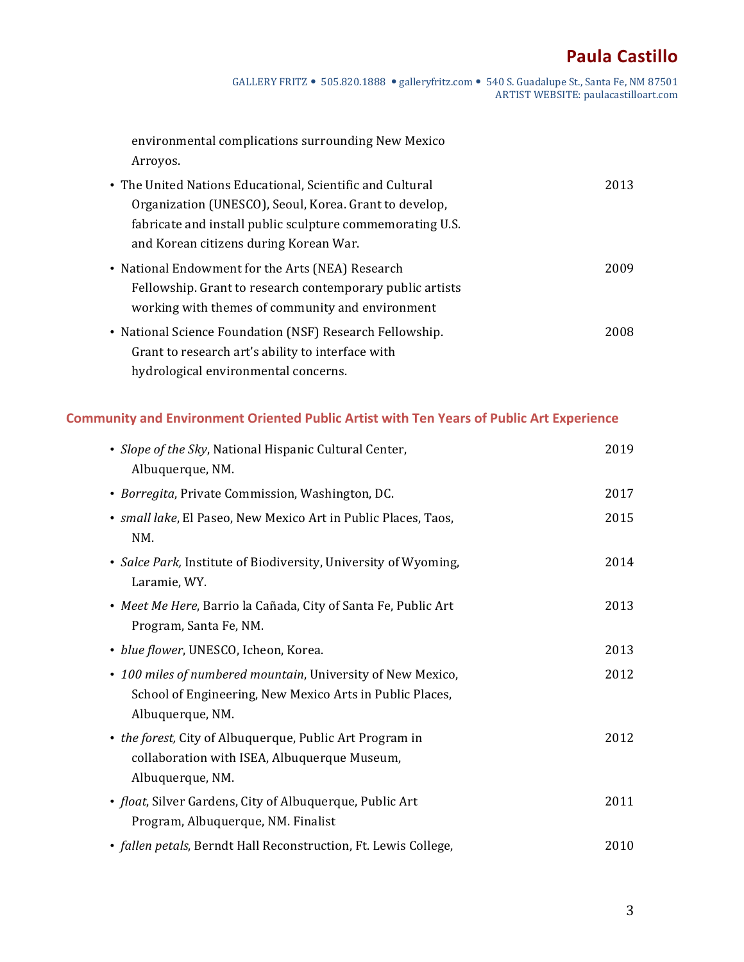# **Paula Castillo**

GALLERY FRITZ . 505.820.1888 . galleryfritz.com . 540 S. Guadalupe St., Santa Fe, NM 87501 ARTIST WEBSITE: paulacastilloart.com

environmental complications surrounding New Mexico Arroyos. 

| • The United Nations Educational, Scientific and Cultural | 2013 |
|-----------------------------------------------------------|------|
| Organization (UNESCO), Seoul, Korea. Grant to develop,    |      |
| fabricate and install public sculpture commemorating U.S. |      |
| and Korean citizens during Korean War.                    |      |
| • National Endowment for the Arts (NEA) Research          | 2009 |
| Fellowship. Grant to research contemporary public artists |      |
| working with themes of community and environment          |      |
| • National Science Foundation (NSF) Research Fellowship.  | 2008 |
| Grant to research art's ability to interface with         |      |
| hydrological environmental concerns.                      |      |

## **Community and Environment Oriented Public Artist with Ten Years of Public Art Experience**

| • Slope of the Sky, National Hispanic Cultural Center,<br>Albuquerque, NM.                                                                  | 2019 |
|---------------------------------------------------------------------------------------------------------------------------------------------|------|
| · Borregita, Private Commission, Washington, DC.                                                                                            | 2017 |
| • small lake, El Paseo, New Mexico Art in Public Places, Taos,<br>NM.                                                                       | 2015 |
| • Salce Park, Institute of Biodiversity, University of Wyoming,<br>Laramie, WY.                                                             | 2014 |
| • Meet Me Here, Barrio la Cañada, City of Santa Fe, Public Art<br>Program, Santa Fe, NM.                                                    | 2013 |
| · blue flower, UNESCO, Icheon, Korea.                                                                                                       | 2013 |
| • 100 miles of numbered mountain, University of New Mexico,<br>School of Engineering, New Mexico Arts in Public Places,<br>Albuquerque, NM. | 2012 |
| • the forest, City of Albuquerque, Public Art Program in<br>collaboration with ISEA, Albuquerque Museum,<br>Albuquerque, NM.                | 2012 |
| • float, Silver Gardens, City of Albuquerque, Public Art<br>Program, Albuquerque, NM. Finalist                                              | 2011 |
| · fallen petals, Berndt Hall Reconstruction, Ft. Lewis College,                                                                             | 2010 |